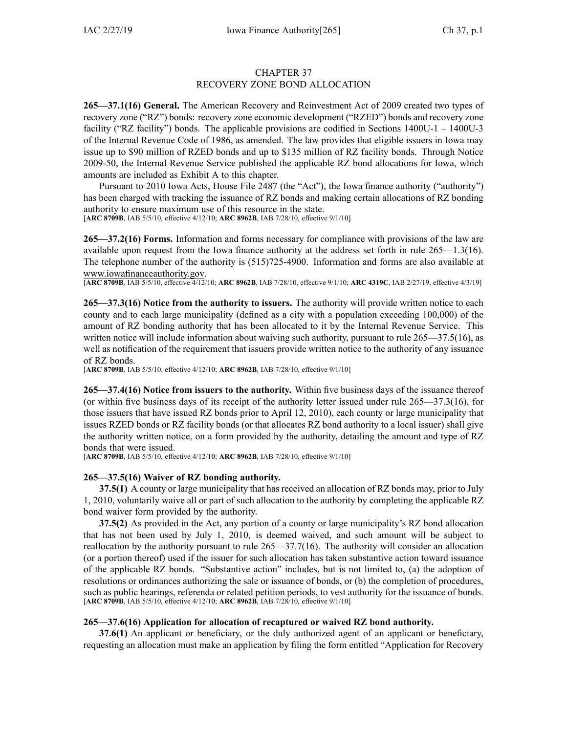## CHAPTER 37 RECOVERY ZONE BOND ALLOCATION

**265—37.1(16) General.** The American Recovery and Reinvestment Act of 2009 created two types of recovery zone ("RZ") bonds: recovery zone economic development ("RZED") bonds and recovery zone facility ("RZ facility") bonds. The applicable provisions are codified in Sections 1400U-1 – 1400U-3 of the Internal Revenue Code of 1986, as amended. The law provides that eligible issuers in Iowa may issue up to \$90 million of RZED bonds and up to \$135 million of RZ facility bonds. Through Notice 2009-50, the Internal Revenue Service published the applicable RZ bond allocations for Iowa, which amounts are included as Exhibit A to this chapter.

Pursuant to 2010 Iowa Acts, House File 2487 (the "Act"), the Iowa finance authority ("authority") has been charged with tracking the issuance of RZ bonds and making certain allocations of RZ bonding authority to ensure maximum use of this resource in the state. [**ARC [8709B](https://www.legis.iowa.gov/docs/aco/arc/8709B.pdf)**, IAB 5/5/10, effective 4/12/10; **ARC [8962B](https://www.legis.iowa.gov/docs/aco/arc/8962B.pdf)**, IAB 7/28/10, effective 9/1/10]

**265—37.2(16) Forms.** Information and forms necessary for compliance with provisions of the law are available upon reques<sup>t</sup> from the Iowa finance authority at the address set forth in rule 265—1.3(16). The telephone number of the authority is (515)725-4900. Information and forms are also available at [www.iowafinanceauthority.gov](http://www.iowafinanceauthority.gov).

[**ARC [8709B](https://www.legis.iowa.gov/docs/aco/arc/8709B.pdf)**, IAB 5/5/10, effective 4/12/10; **ARC [8962B](https://www.legis.iowa.gov/docs/aco/arc/8962B.pdf)**, IAB 7/28/10, effective 9/1/10; **ARC [4319C](https://www.legis.iowa.gov/docs/aco/arc/4319C.pdf)**, IAB 2/27/19, effective 4/3/19]

**265—37.3(16) Notice from the authority to issuers.** The authority will provide written notice to each county and to each large municipality (defined as <sup>a</sup> city with <sup>a</sup> population exceeding 100,000) of the amount of RZ bonding authority that has been allocated to it by the Internal Revenue Service. This written notice will include information about waiving such authority, pursuant to rule [265—37.5](https://www.legis.iowa.gov/docs/iac/rule/265.37.5.pdf)(16), as well as notification of the requirement that issuers provide written notice to the authority of any issuance of RZ bonds.

[**ARC [8709B](https://www.legis.iowa.gov/docs/aco/arc/8709B.pdf)**, IAB 5/5/10, effective 4/12/10; **ARC [8962B](https://www.legis.iowa.gov/docs/aco/arc/8962B.pdf)**, IAB 7/28/10, effective 9/1/10]

**265—37.4(16) Notice from issuers to the authority.** Within five business days of the issuance thereof (or within five business days of its receipt of the authority letter issued under rule [265—37.3](https://www.legis.iowa.gov/docs/iac/rule/265.37.3.pdf)(16), for those issuers that have issued RZ bonds prior to April 12, 2010), each county or large municipality that issues RZED bonds or RZ facility bonds (or that allocates RZ bond authority to <sup>a</sup> local issuer) shall give the authority written notice, on <sup>a</sup> form provided by the authority, detailing the amount and type of RZ bonds that were issued.

[**ARC [8709B](https://www.legis.iowa.gov/docs/aco/arc/8709B.pdf)**, IAB 5/5/10, effective 4/12/10; **ARC [8962B](https://www.legis.iowa.gov/docs/aco/arc/8962B.pdf)**, IAB 7/28/10, effective 9/1/10]

### **265—37.5(16) Waiver of RZ bonding authority.**

**37.5(1)** A county or large municipality that has received an allocation of RZ bonds may, prior to July 1, 2010, voluntarily waive all or par<sup>t</sup> of such allocation to the authority by completing the applicable RZ bond waiver form provided by the authority.

**37.5(2)** As provided in the Act, any portion of <sup>a</sup> county or large municipality's RZ bond allocation that has not been used by July 1, 2010, is deemed waived, and such amount will be subject to reallocation by the authority pursuan<sup>t</sup> to rule [265—37.7](https://www.legis.iowa.gov/docs/iac/rule/265.37.7.pdf)(16). The authority will consider an allocation (or <sup>a</sup> portion thereof) used if the issuer for such allocation has taken substantive action toward issuance of the applicable RZ bonds. "Substantive action" includes, but is not limited to, (a) the adoption of resolutions or ordinances authorizing the sale or issuance of bonds, or (b) the completion of procedures, such as public hearings, referenda or related petition periods, to vest authority for the issuance of bonds. [**ARC [8709B](https://www.legis.iowa.gov/docs/aco/arc/8709B.pdf)**, IAB 5/5/10, effective 4/12/10; **ARC [8962B](https://www.legis.iowa.gov/docs/aco/arc/8962B.pdf)**, IAB 7/28/10, effective 9/1/10]

### **265—37.6(16) Application for allocation of recaptured or waived RZ bond authority.**

**37.6(1)** An applicant or beneficiary, or the duly authorized agen<sup>t</sup> of an applicant or beneficiary, requesting an allocation must make an application by filing the form entitled "Application for Recovery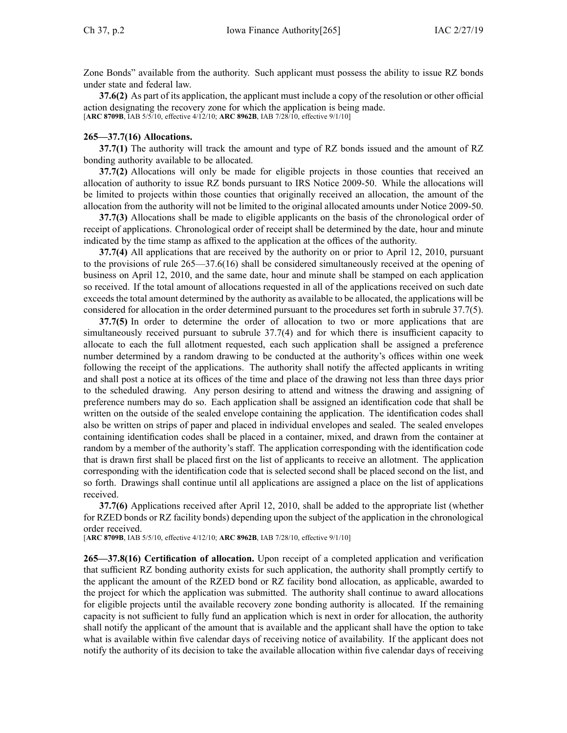Zone Bonds" available from the authority. Such applicant must possess the ability to issue RZ bonds under state and federal law.

**37.6(2)** As par<sup>t</sup> of its application, the applicant must include <sup>a</sup> copy of the resolution or other official action designating the recovery zone for which the application is being made. [**ARC [8709B](https://www.legis.iowa.gov/docs/aco/arc/8709B.pdf)**, IAB 5/5/10, effective 4/12/10; **ARC [8962B](https://www.legis.iowa.gov/docs/aco/arc/8962B.pdf)**, IAB 7/28/10, effective 9/1/10]

#### **265—37.7(16) Allocations.**

**37.7(1)** The authority will track the amount and type of RZ bonds issued and the amount of RZ bonding authority available to be allocated.

**37.7(2)** Allocations will only be made for eligible projects in those counties that received an allocation of authority to issue RZ bonds pursuan<sup>t</sup> to IRS Notice 2009-50. While the allocations will be limited to projects within those counties that originally received an allocation, the amount of the allocation from the authority will not be limited to the original allocated amounts under Notice 2009-50.

**37.7(3)** Allocations shall be made to eligible applicants on the basis of the chronological order of receipt of applications. Chronological order of receipt shall be determined by the date, hour and minute indicated by the time stamp as affixed to the application at the offices of the authority.

**37.7(4)** All applications that are received by the authority on or prior to April 12, 2010, pursuan<sup>t</sup> to the provisions of rule [265—37.6](https://www.legis.iowa.gov/docs/iac/rule/265.37.6.pdf)(16) shall be considered simultaneously received at the opening of business on April 12, 2010, and the same date, hour and minute shall be stamped on each application so received. If the total amount of allocations requested in all of the applications received on such date exceeds the total amount determined by the authority as available to be allocated, the applications will be considered for allocation in the order determined pursuan<sup>t</sup> to the procedures set forth in subrule [37.7\(5\)](https://www.legis.iowa.gov/docs/iac/rule/265.37.7.pdf).

**37.7(5)** In order to determine the order of allocation to two or more applications that are simultaneously received pursuan<sup>t</sup> to subrule [37.7\(4\)](https://www.legis.iowa.gov/docs/iac/rule/265.37.7.pdf) and for which there is insufficient capacity to allocate to each the full allotment requested, each such application shall be assigned <sup>a</sup> preference number determined by <sup>a</sup> random drawing to be conducted at the authority's offices within one week following the receipt of the applications. The authority shall notify the affected applicants in writing and shall pos<sup>t</sup> <sup>a</sup> notice at its offices of the time and place of the drawing not less than three days prior to the scheduled drawing. Any person desiring to attend and witness the drawing and assigning of preference numbers may do so. Each application shall be assigned an identification code that shall be written on the outside of the sealed envelope containing the application. The identification codes shall also be written on strips of paper and placed in individual envelopes and sealed. The sealed envelopes containing identification codes shall be placed in <sup>a</sup> container, mixed, and drawn from the container at random by <sup>a</sup> member of the authority's staff. The application corresponding with the identification code that is drawn first shall be placed first on the list of applicants to receive an allotment. The application corresponding with the identification code that is selected second shall be placed second on the list, and so forth. Drawings shall continue until all applications are assigned <sup>a</sup> place on the list of applications received.

**37.7(6)** Applications received after April 12, 2010, shall be added to the appropriate list (whether for RZED bonds or RZ facility bonds) depending upon the subject of the application in the chronological order received.

[**ARC [8709B](https://www.legis.iowa.gov/docs/aco/arc/8709B.pdf)**, IAB 5/5/10, effective 4/12/10; **ARC [8962B](https://www.legis.iowa.gov/docs/aco/arc/8962B.pdf)**, IAB 7/28/10, effective 9/1/10]

**265—37.8(16) Certification of allocation.** Upon receipt of <sup>a</sup> completed application and verification that sufficient RZ bonding authority exists for such application, the authority shall promptly certify to the applicant the amount of the RZED bond or RZ facility bond allocation, as applicable, awarded to the project for which the application was submitted. The authority shall continue to award allocations for eligible projects until the available recovery zone bonding authority is allocated. If the remaining capacity is not sufficient to fully fund an application which is next in order for allocation, the authority shall notify the applicant of the amount that is available and the applicant shall have the option to take what is available within five calendar days of receiving notice of availability. If the applicant does not notify the authority of its decision to take the available allocation within five calendar days of receiving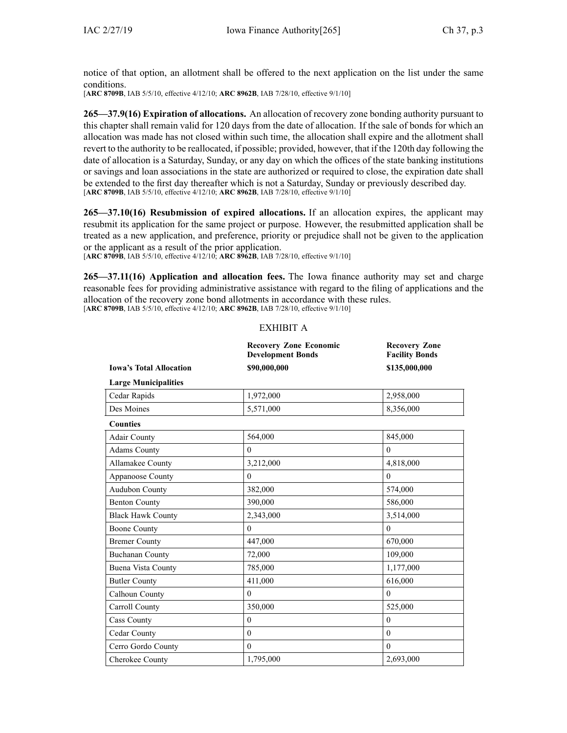notice of that option, an allotment shall be offered to the next application on the list under the same conditions.

[**ARC [8709B](https://www.legis.iowa.gov/docs/aco/arc/8709B.pdf)**, IAB 5/5/10, effective 4/12/10; **ARC [8962B](https://www.legis.iowa.gov/docs/aco/arc/8962B.pdf)**, IAB 7/28/10, effective 9/1/10]

**265—37.9(16) Expiration of allocations.** An allocation of recovery zone bonding authority pursuan<sup>t</sup> to this chapter shall remain valid for 120 days from the date of allocation. If the sale of bonds for which an allocation was made has not closed within such time, the allocation shall expire and the allotment shall revert to the authority to be reallocated, if possible; provided, however, that if the 120th day following the date of allocation is <sup>a</sup> Saturday, Sunday, or any day on which the offices of the state banking institutions or savings and loan associations in the state are authorized or required to close, the expiration date shall be extended to the first day thereafter which is not <sup>a</sup> Saturday, Sunday or previously described day. [**ARC [8709B](https://www.legis.iowa.gov/docs/aco/arc/8709B.pdf)**, IAB 5/5/10, effective 4/12/10; **ARC [8962B](https://www.legis.iowa.gov/docs/aco/arc/8962B.pdf)**, IAB 7/28/10, effective 9/1/10]

**265—37.10(16) Resubmission of expired allocations.** If an allocation expires, the applicant may resubmit its application for the same project or purpose. However, the resubmitted application shall be treated as <sup>a</sup> new application, and preference, priority or prejudice shall not be given to the application or the applicant as <sup>a</sup> result of the prior application.

[**ARC [8709B](https://www.legis.iowa.gov/docs/aco/arc/8709B.pdf)**, IAB 5/5/10, effective 4/12/10; **ARC [8962B](https://www.legis.iowa.gov/docs/aco/arc/8962B.pdf)**, IAB 7/28/10, effective 9/1/10]

**265—37.11(16) Application and allocation fees.** The Iowa finance authority may set and charge reasonable fees for providing administrative assistance with regard to the filing of applications and the allocation of the recovery zone bond allotments in accordance with these rules. [**ARC [8709B](https://www.legis.iowa.gov/docs/aco/arc/8709B.pdf)**, IAB 5/5/10, effective 4/12/10; **ARC [8962B](https://www.legis.iowa.gov/docs/aco/arc/8962B.pdf)**, IAB 7/28/10, effective 9/1/10]

# EXHIBIT A

|                                | <b>Recovery Zone Economic</b><br><b>Development Bonds</b> | <b>Recovery Zone</b><br><b>Facility Bonds</b> |
|--------------------------------|-----------------------------------------------------------|-----------------------------------------------|
| <b>Iowa's Total Allocation</b> | \$90,000,000                                              | \$135,000,000                                 |
| <b>Large Municipalities</b>    |                                                           |                                               |
| Cedar Rapids                   | 1,972,000                                                 | 2,958,000                                     |
| Des Moines                     | 5,571,000                                                 | 8,356,000                                     |
| <b>Counties</b>                |                                                           |                                               |
| Adair County                   | 564,000                                                   | 845,000                                       |
| <b>Adams County</b>            | $\mathbf{0}$                                              | $\theta$                                      |
| Allamakee County               | 3,212,000                                                 | 4,818,000                                     |
| Appanoose County               | $\theta$                                                  | $\theta$                                      |
| Audubon County                 | 382,000                                                   | 574,000                                       |
| <b>Benton County</b>           | 390,000                                                   | 586,000                                       |
| <b>Black Hawk County</b>       | 2,343,000                                                 | 3,514,000                                     |
| <b>Boone County</b>            | $\mathbf{0}$                                              | $\mathbf{0}$                                  |
| <b>Bremer County</b>           | 447,000                                                   | 670,000                                       |
| <b>Buchanan County</b>         | 72,000                                                    | 109,000                                       |
| Buena Vista County             | 785,000                                                   | 1,177,000                                     |
| <b>Butler County</b>           | 411,000                                                   | 616,000                                       |
| Calhoun County                 | $\theta$                                                  | $\theta$                                      |
| Carroll County                 | 350,000                                                   | 525,000                                       |
| <b>Cass County</b>             | $\theta$                                                  | $\theta$                                      |
| Cedar County                   | $\mathbf{0}$                                              | $\mathbf{0}$                                  |
| Cerro Gordo County             | $\theta$                                                  | $\theta$                                      |
| Cherokee County                | 1,795,000                                                 | 2.693.000                                     |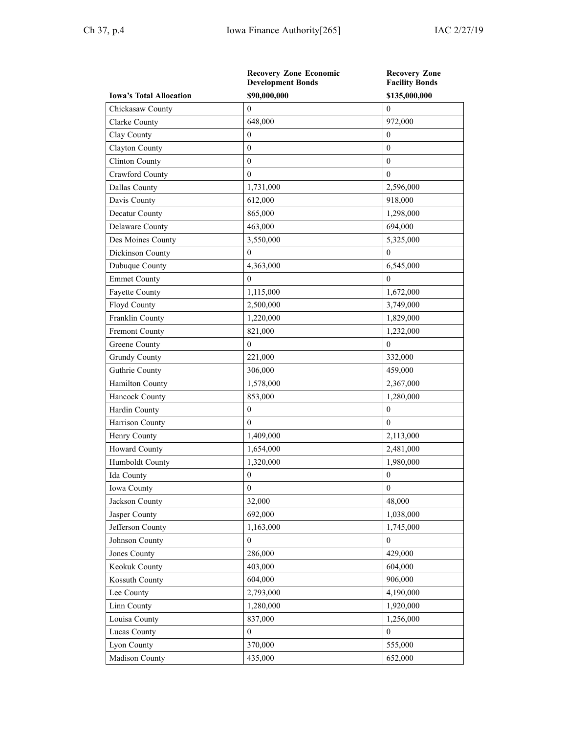|                                | <b>Recovery Zone Economic</b><br><b>Development Bonds</b> | <b>Recovery Zone</b><br><b>Facility Bonds</b> |
|--------------------------------|-----------------------------------------------------------|-----------------------------------------------|
| <b>Iowa's Total Allocation</b> | \$90,000,000                                              | \$135,000,000                                 |
| Chickasaw County               | $\mathbf{0}$                                              | $\overline{0}$                                |
| Clarke County                  | 648,000                                                   | 972,000                                       |
| Clay County                    | $\mathbf{0}$                                              | $\theta$                                      |
| Clayton County                 | $\mathbf{0}$                                              | $\mathbf{0}$                                  |
| Clinton County                 | $\boldsymbol{0}$                                          | $\boldsymbol{0}$                              |
| Crawford County                | $\mathbf{0}$                                              | $\boldsymbol{0}$                              |
| Dallas County                  | 1,731,000                                                 | 2,596,000                                     |
| Davis County                   | 612,000                                                   | 918,000                                       |
| Decatur County                 | 865,000                                                   | 1,298,000                                     |
| Delaware County                | 463,000                                                   | 694,000                                       |
| Des Moines County              | 3,550,000                                                 | 5,325,000                                     |
| Dickinson County               | $\mathbf{0}$                                              | $\mathbf{0}$                                  |
| Dubuque County                 | 4,363,000                                                 | 6,545,000                                     |
| <b>Emmet County</b>            | $\boldsymbol{0}$                                          | $\theta$                                      |
| Fayette County                 | 1,115,000                                                 | 1,672,000                                     |
| Floyd County                   | 2,500,000                                                 | 3,749,000                                     |
| Franklin County                | 1,220,000                                                 | 1,829,000                                     |
| Fremont County                 | 821,000                                                   | 1,232,000                                     |
| Greene County                  | $\mathbf{0}$                                              | $\overline{0}$                                |
| <b>Grundy County</b>           | 221,000                                                   | 332,000                                       |
| Guthrie County                 | 306,000                                                   | 459,000                                       |
| Hamilton County                | 1,578,000                                                 | 2,367,000                                     |
| Hancock County                 | 853,000                                                   | 1,280,000                                     |
| Hardin County                  | $\boldsymbol{0}$                                          | $\boldsymbol{0}$                              |
| Harrison County                | $\boldsymbol{0}$                                          | $\Omega$                                      |
| Henry County                   | 1,409,000                                                 | 2,113,000                                     |
| <b>Howard County</b>           | 1,654,000                                                 | 2,481,000                                     |
| Humboldt County                | 1,320,000                                                 | 1,980,000                                     |
| Ida County                     | $\boldsymbol{0}$                                          | $\boldsymbol{0}$                              |
| Iowa County                    | $\boldsymbol{0}$                                          | $\boldsymbol{0}$                              |
| Jackson County                 | 32,000                                                    | 48,000                                        |
| Jasper County                  | 692,000                                                   | 1,038,000                                     |
| Jefferson County               | 1,163,000                                                 | 1,745,000                                     |
| Johnson County                 | $\theta$                                                  | $\overline{0}$                                |
| Jones County                   | 286,000                                                   | 429,000                                       |
| Keokuk County                  | 403,000                                                   | 604,000                                       |
| Kossuth County                 | 604,000                                                   | 906,000                                       |
| Lee County                     | 2,793,000                                                 | 4,190,000                                     |
| Linn County                    | 1,280,000                                                 | 1,920,000                                     |
| Louisa County                  | 837,000                                                   | 1,256,000                                     |
| Lucas County                   | $\mathbf{0}$                                              | $\boldsymbol{0}$                              |
| Lyon County                    | 370,000                                                   | 555,000                                       |
| Madison County                 | 435,000                                                   | 652,000                                       |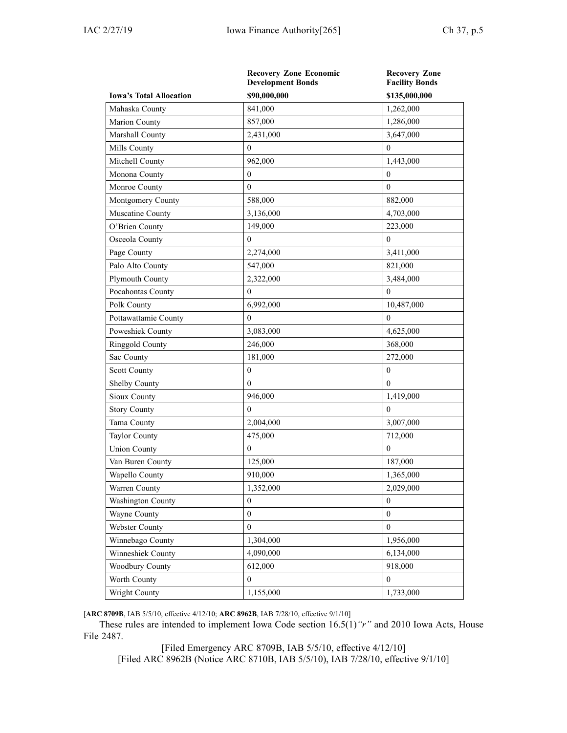|                                | <b>Recovery Zone Economic</b><br><b>Development Bonds</b> | <b>Recovery Zone</b><br><b>Facility Bonds</b> |
|--------------------------------|-----------------------------------------------------------|-----------------------------------------------|
| <b>Iowa's Total Allocation</b> | \$90,000,000                                              | \$135,000,000                                 |
| Mahaska County                 | 841,000                                                   | 1,262,000                                     |
| Marion County                  | 857,000                                                   | 1,286,000                                     |
| Marshall County                | 2,431,000                                                 | 3,647,000                                     |
| Mills County                   | $\mathbf{0}$                                              | $\theta$                                      |
| Mitchell County                | 962,000                                                   | 1,443,000                                     |
| Monona County                  | $\boldsymbol{0}$                                          | $\overline{0}$                                |
| Monroe County                  | $\mathbf{0}$                                              | $\overline{0}$                                |
| Montgomery County              | 588,000                                                   | 882,000                                       |
| Muscatine County               | 3,136,000                                                 | 4,703,000                                     |
| O'Brien County                 | 149,000                                                   | 223,000                                       |
| Osceola County                 | $\mathbf{0}$                                              | $\theta$                                      |
| Page County                    | 2,274,000                                                 | 3,411,000                                     |
| Palo Alto County               | 547,000                                                   | 821,000                                       |
| Plymouth County                | 2,322,000                                                 | 3,484,000                                     |
| Pocahontas County              | $\overline{0}$                                            | $\theta$                                      |
| Polk County                    | 6,992,000                                                 | 10,487,000                                    |
| Pottawattamie County           | $\mathbf{0}$                                              | $\overline{0}$                                |
| Poweshiek County               | 3,083,000                                                 | 4,625,000                                     |
| Ringgold County                | 246,000                                                   | 368,000                                       |
| Sac County                     | 181,000                                                   | 272,000                                       |
| Scott County                   | $\boldsymbol{0}$                                          | $\boldsymbol{0}$                              |
| Shelby County                  | $\theta$                                                  | $\theta$                                      |
| Sioux County                   | 946,000                                                   | 1,419,000                                     |
| <b>Story County</b>            | $\mathbf{0}$                                              | $\theta$                                      |
| Tama County                    | 2,004,000                                                 | 3,007,000                                     |
| Taylor County                  | 475,000                                                   | 712,000                                       |
| <b>Union County</b>            | $\overline{0}$                                            | $\overline{0}$                                |
| Van Buren County               | 125,000                                                   | 187,000                                       |
| Wapello County                 | 910,000                                                   | 1,365,000                                     |
| Warren County                  | 1,352,000                                                 | 2,029,000                                     |
| Washington County              | $\boldsymbol{0}$                                          | $\boldsymbol{0}$                              |
| Wayne County                   | $\boldsymbol{0}$                                          | $\boldsymbol{0}$                              |
| Webster County                 | $\boldsymbol{0}$                                          | $\mathbf{0}$                                  |
| Winnebago County               | 1,304,000                                                 | 1,956,000                                     |
| Winneshiek County              | 4,090,000                                                 | 6,134,000                                     |
| Woodbury County                | 612,000                                                   | 918,000                                       |
| Worth County                   | $\boldsymbol{0}$                                          | $\boldsymbol{0}$                              |
| Wright County                  | 1,155,000                                                 | 1,733,000                                     |

[**ARC [8709B](https://www.legis.iowa.gov/docs/aco/arc/8709B.pdf)**, IAB 5/5/10, effective 4/12/10; **ARC [8962B](https://www.legis.iowa.gov/docs/aco/arc/8962B.pdf)**, IAB 7/28/10, effective 9/1/10]

These rules are intended to implement Iowa Code section [16.5\(1\)](https://www.legis.iowa.gov/docs/ico/section/16.5.pdf)*"r"* and 2010 Iowa Acts, House File 2487.

[Filed [Emergency](https://www.legis.iowa.gov/docs/aco/arc/8709B.pdf) ARC 8709B, IAB 5/5/10, effective 4/12/10] [[Filed](https://www.legis.iowa.gov/docs/aco/arc/8962B.pdf) ARC 8962B [\(Notice](https://www.legis.iowa.gov/docs/aco/arc/8710B.pdf) ARC 8710B, IAB 5/5/10), IAB 7/28/10, effective 9/1/10]